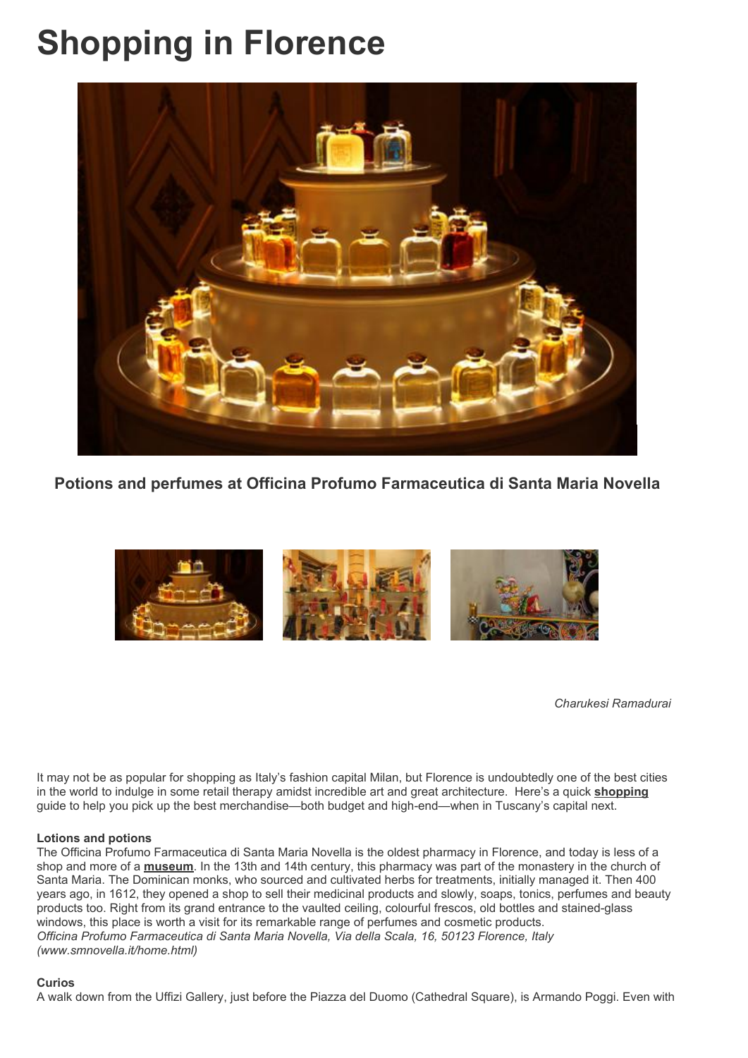# **Shopping in Florence**



**Potions and perfumes at Officina Profumo Farmaceutica di Santa Maria Novella**



*Charukesi Ramadurai*

It may not be as popular for shopping as Italy's fashion capital Milan, but Florence is undoubtedly one of the best cities in the world to indulge in some retail therapy amidst incredible art and great architecture. Here's a quick **shopping** guide to help you pick up the best merchandise—both budget and high-end—when in Tuscany's capital next.

# **Lotions and potions**

The Officina Profumo Farmaceutica di Santa Maria Novella is the oldest pharmacy in Florence, and today is less of a shop and more of a **museum**. In the 13th and 14th century, this pharmacy was part of the monastery in the church of Santa Maria. The Dominican monks, who sourced and cultivated herbs for treatments, initially managed it. Then 400 years ago, in 1612, they opened a shop to sell their medicinal products and slowly, soaps, tonics, perfumes and beauty products too. Right from its grand entrance to the vaulted ceiling, colourful frescos, old bottles and stained-glass windows, this place is worth a visit for its remarkable range of perfumes and cosmetic products. *Officina Profumo Farmaceutica di Santa Maria Novella, Via della Scala, 16, 50123 Florence, Italy (www.smnovella.it/home.html)*

# **Curios**

A walk down from the Uffizi Gallery, just before the Piazza del Duomo (Cathedral Square), is Armando Poggi. Even with